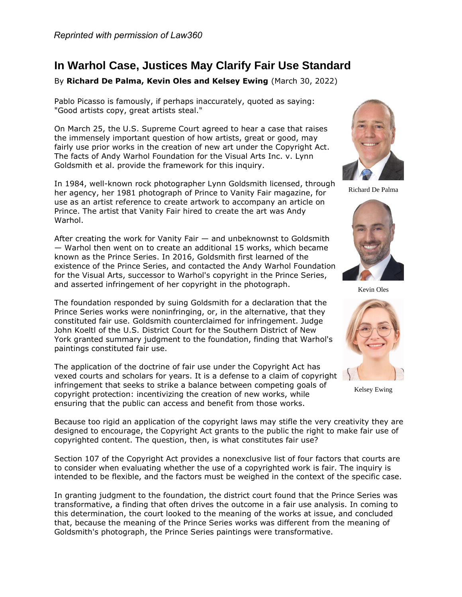## **In Warhol Case, Justices May Clarify Fair Use Standard**

## By **Richard De Palma, Kevin Oles and Kelsey Ewing** (March 30, 2022)

Pablo Picasso is famously, if perhaps inaccurately, quoted as saying: "Good artists copy, great artists steal."

On March 25, the [U.S. Supreme Court](https://www.law360.com/agencies/u-s-supreme-court) agreed to hear a case that raises the immensely important question of how artists, great or good, may fairly use prior works in the creation of new art under the Copyright Act. The facts of Andy Warhol Foundation for the Visual Arts Inc. v. Lynn Goldsmith et al. provide the framework for this inquiry.

In 1984, well-known rock photographer Lynn Goldsmith licensed, through her agency, her 1981 photograph of Prince to Vanity Fair magazine, for use as an artist reference to create artwork to accompany an article on Prince. The artist that Vanity Fair hired to create the art was Andy Warhol.

After creating the work for Vanity Fair — and unbeknownst to Goldsmith — Warhol then went on to create an additional 15 works, which became known as the Prince Series. In 2016, Goldsmith first learned of the existence of the Prince Series, and contacted the Andy Warhol Foundation for the Visual Arts, successor to Warhol's copyright in the Prince Series, and asserted infringement of her copyright in the photograph.

The foundation responded by suing Goldsmith for a declaration that the Prince Series works were noninfringing, or, in the alternative, that they constituted fair use. Goldsmith counterclaimed for infringement. Judge John Koeltl of the [U.S. District Court for the Southern District of New](https://www.law360.com/agencies/u-s-district-court-for-the-southern-district-of-new-york)  [York](https://www.law360.com/agencies/u-s-district-court-for-the-southern-district-of-new-york) granted summary judgment to the foundation, finding that Warhol's paintings constituted fair use.

The application of the doctrine of fair use under the Copyright Act has vexed courts and scholars for years. It is a defense to a claim of copyright infringement that seeks to strike a balance between competing goals of copyright protection: incentivizing the creation of new works, while ensuring that the public can access and benefit from those works.



Richard De Palma



Kevin Oles



Kelsey Ewing

Because too rigid an application of the copyright laws may stifle the very creativity they are designed to encourage, the Copyright Act grants to the public the right to make fair use of copyrighted content. The question, then, is what constitutes fair use?

Section 107 of the Copyright Act provides a nonexclusive list of four factors that courts are to consider when evaluating whether the use of a copyrighted work is fair. The inquiry is intended to be flexible, and the factors must be weighed in the context of the specific case.

In granting judgment to the foundation, the district court found that the Prince Series was transformative, a finding that often drives the outcome in a fair use analysis. In coming to this determination, the court looked to the meaning of the works at issue, and concluded that, because the meaning of the Prince Series works was different from the meaning of Goldsmith's photograph, the Prince Series paintings were transformative.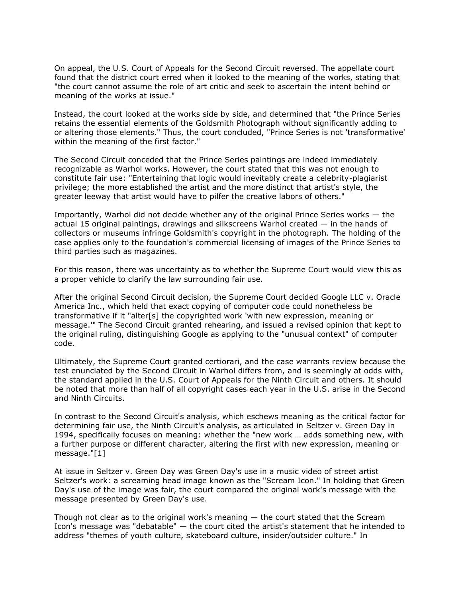On appeal, the [U.S. Court of Appeals for the Second Circuit](https://www.law360.com/agencies/u-s-court-of-appeals-for-the-second-circuit) reversed. The appellate court found that the district court erred when it looked to the meaning of the works, stating that "the court cannot assume the role of art critic and seek to ascertain the intent behind or meaning of the works at issue."

Instead, the court looked at the works side by side, and determined that "the Prince Series retains the essential elements of the Goldsmith Photograph without significantly adding to or altering those elements." Thus, the court concluded, "Prince Series is not 'transformative' within the meaning of the first factor."

The Second Circuit conceded that the Prince Series paintings are indeed immediately recognizable as Warhol works. However, the court stated that this was not enough to constitute fair use: "Entertaining that logic would inevitably create a celebrity-plagiarist privilege; the more established the artist and the more distinct that artist's style, the greater leeway that artist would have to pilfer the creative labors of others."

Importantly, Warhol did not decide whether any of the original Prince Series works — the actual 15 original paintings, drawings and silkscreens Warhol created — in the hands of collectors or museums infringe Goldsmith's copyright in the photograph. The holding of the case applies only to the foundation's commercial licensing of images of the Prince Series to third parties such as magazines.

For this reason, there was uncertainty as to whether the Supreme Court would view this as a proper vehicle to clarify the law surrounding fair use.

After the original Second Circuit decision, the Supreme Court decided [Google LLC](https://www.law360.com/companies/google-llc) v. [Oracle](https://www.law360.com/companies/oracle-corp)  [America Inc.](https://www.law360.com/companies/oracle-corp), which held that exact copying of computer code could nonetheless be transformative if it "alter[s] the copyrighted work 'with new expression, meaning or message.'" The Second Circuit granted rehearing, and issued a revised opinion that kept to the original ruling, distinguishing Google as applying to the "unusual context" of computer code.

Ultimately, the Supreme Court granted certiorari, and the case warrants review because the test enunciated by the Second Circuit in Warhol differs from, and is seemingly at odds with, the standard applied in the [U.S. Court of Appeals for the Ninth Circuit](https://www.law360.com/agencies/u-s-court-of-appeals-for-the-ninth-circuit) and others. It should be noted that more than half of all copyright cases each year in the U.S. arise in the Second and Ninth Circuits.

In contrast to the Second Circuit's analysis, which eschews meaning as the critical factor for determining fair use, the Ninth Circuit's analysis, as articulated in Seltzer v. Green Day in 1994, specifically focuses on meaning: whether the "new work … adds something new, with a further purpose or different character, altering the first with new expression, meaning or message."[1]

At issue in Seltzer v. Green Day was Green Day's use in a music video of street artist Seltzer's work: a screaming head image known as the "Scream Icon." In holding that Green Day's use of the image was fair, the court compared the original work's message with the message presented by Green Day's use.

Though not clear as to the original work's meaning  $-$  the court stated that the Scream Icon's message was "debatable" — the court cited the artist's statement that he intended to address "themes of youth culture, skateboard culture, insider/outsider culture." In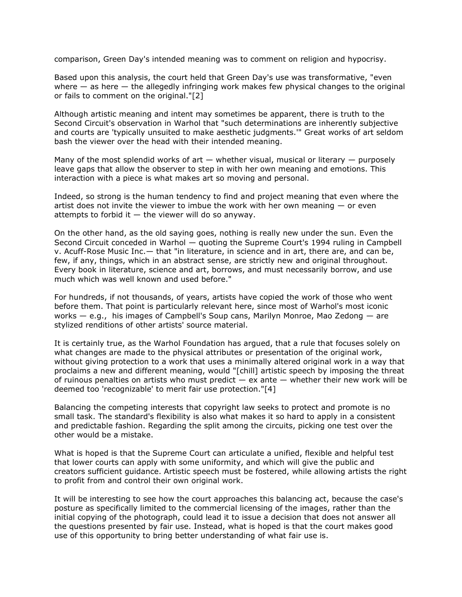comparison, Green Day's intended meaning was to comment on religion and hypocrisy.

Based upon this analysis, the court held that Green Day's use was transformative, "even where  $-$  as here  $-$  the allegedly infringing work makes few physical changes to the original or fails to comment on the original."[2]

Although artistic meaning and intent may sometimes be apparent, there is truth to the Second Circuit's observation in Warhol that "such determinations are inherently subjective and courts are 'typically unsuited to make aesthetic judgments.'" Great works of art seldom bash the viewer over the head with their intended meaning.

Many of the most splendid works of art  $-$  whether visual, musical or literary  $-$  purposely leave gaps that allow the observer to step in with her own meaning and emotions. This interaction with a piece is what makes art so moving and personal.

Indeed, so strong is the human tendency to find and project meaning that even where the artist does not invite the viewer to imbue the work with her own meaning — or even attempts to forbid it  $-$  the viewer will do so anyway.

On the other hand, as the old saying goes, nothing is really new under the sun. Even the Second Circuit conceded in Warhol — quoting the Supreme Court's 1994 ruling in Campbell v. Acuff-Rose Music Inc.— that "in literature, in science and in art, there are, and can be, few, if any, things, which in an abstract sense, are strictly new and original throughout. Every book in literature, science and art, borrows, and must necessarily borrow, and use much which was well known and used before."

For hundreds, if not thousands, of years, artists have copied the work of those who went before them. That point is particularly relevant here, since most of Warhol's most iconic works — e.g., his images of Campbell's Soup cans, Marilyn Monroe, Mao Zedong — are stylized renditions of other artists' source material.

It is certainly true, as the Warhol Foundation has argued, that a rule that focuses solely on what changes are made to the physical attributes or presentation of the original work, without giving protection to a work that uses a minimally altered original work in a way that proclaims a new and different meaning, would "[chill] artistic speech by imposing the threat of ruinous penalties on artists who must predict  $-$  ex ante  $-$  whether their new work will be deemed too 'recognizable' to merit fair use protection."[4]

Balancing the competing interests that copyright law seeks to protect and promote is no small task. The standard's flexibility is also what makes it so hard to apply in a consistent and predictable fashion. Regarding the split among the circuits, picking one test over the other would be a mistake.

What is hoped is that the Supreme Court can articulate a unified, flexible and helpful test that lower courts can apply with some uniformity, and which will give the public and creators sufficient guidance. Artistic speech must be fostered, while allowing artists the right to profit from and control their own original work.

It will be interesting to see how the court approaches this balancing act, because the case's posture as specifically limited to the commercial licensing of the images, rather than the initial copying of the photograph, could lead it to issue a decision that does not answer all the questions presented by fair use. Instead, what is hoped is that the court makes good use of this opportunity to bring better understanding of what fair use is.